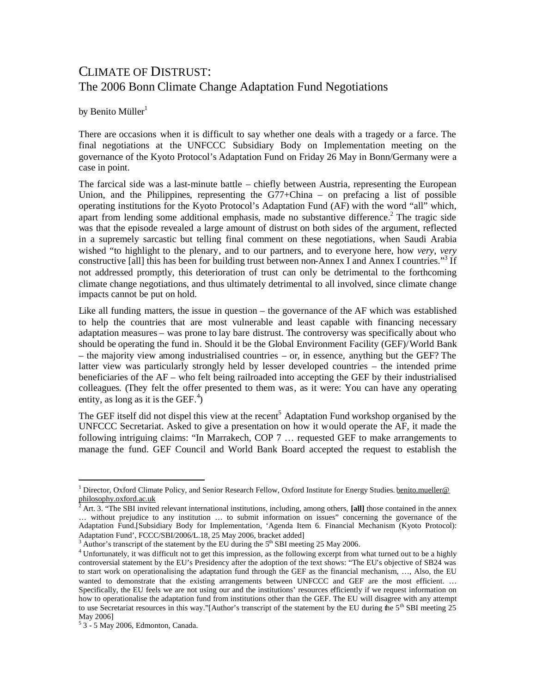## CLIMATE OF DISTRUST: The 2006 Bonn Climate Change Adaptation Fund Negotiations

by Benito Müller $<sup>1</sup>$  $<sup>1</sup>$  $<sup>1</sup>$ </sup>

There are occasions when it is difficult to say whether one deals with a tragedy or a farce. The final negotiations at the UNFCCC Subsidiary Body on Implementation meeting on the governance of the Kyoto Protocol's Adaptation Fund on Friday 26 May in Bonn/Germany were a case in point.

The farcical side was a last-minute battle – chiefly between Austria, representing the European Union, and the Philippines, representing the G77+China – on prefacing a list of possible operating institutions for the Kyoto Protocol's Adaptation Fund (AF) with the word "all" which, apart from lending some additional emphasis, made no substantive difference.<sup>[2](#page-0-1)</sup> The tragic side was that the episode revealed a large amount of distrust on both sides of the argument, reflected in a supremely sarcastic but telling final comment on these negotiations, when Saudi Arabia wished "to highlight to the plenary, and to our partners, and to everyone here, how *very*, *very* constructive [all] this has been for building trust between non-Annex I and Annex I countries."<sup>[3](#page-0-2)</sup> If not addressed promptly, this deterioration of trust can only be detrimental to the forthcoming climate change negotiations, and thus ultimately detrimental to all involved, since climate change impacts cannot be put on hold.

Like all funding matters, the issue in question – the governance of the AF which was established to help the countries that are most vulnerable and least capable with financing necessary adaptation measures – was prone to lay bare distrust. The controversy was specifically about who should be operating the fund in. Should it be the Global Environment Facility (GEF)/World Bank – the majority view among industrialised countries – or, in essence, anything but the GEF? The latter view was particularly strongly held by lesser developed countries – the intended prime beneficiaries of the AF – who felt being railroaded into accepting the GEF by their industrialised colleagues. (They felt the offer presented to them was, as it were: You can have any operating entity,as long as it is the GEF.<sup>4</sup>)

The GEF itself did not dispel this view at the recent<sup>[5](#page-0-4)</sup> Adaptation Fund workshop organised by the UNFCCC Secretariat. Asked to give a presentation on how it would operate the AF, it made the following intriguing claims: "In Marrakech, COP 7 … requested GEF to make arrangements to manage the fund. GEF Council and World Bank Board accepted the request to establish the

<span id="page-0-0"></span><sup>&</sup>lt;sup>1</sup> Director, Oxford Climate Policy, and Senior Research Fellow, Oxford Institute for Energy Studies. benito.mueller@ philosophy.oxford.ac.uk

<span id="page-0-1"></span><sup>2</sup> Art. 3. "The SBI invited relevant international institutions, including, among others, **[all]** those contained in the annex … without prejudice to any institution … to submit information on issues" concerning the governance of the Adaptation Fund.[Subsidiary Body for Implementation, 'Agenda Item 6. Financial Mechanism (Kyoto Protocol): Adaptation Fund', FCCC/SBI/2006/L.18, 25 May 2006, bracket added]

<span id="page-0-3"></span><span id="page-0-2"></span>Author's transcript of the statement by the EU during the  $5<sup>th</sup>$  SBI meeting 25 May 2006.

<sup>&</sup>lt;sup>4</sup> Unfortunately, it was difficult not to get this impression, as the following excerpt from what turned out to be a highly controversial statement by the EU's Presidency after the adoption of the text shows: "The EU's objective of SB24 was to start work on operationalising the adaptation fund through the GEF as the financial mechanism, …, Also, the EU wanted to demonstrate that the existing arrangements between UNFCCC and GEF are the most efficient. ... Specifically, the EU feels we are not using our and the institutions' resources efficiently if we request information on how to operationalise the adaptation fund from institutions other than the GEF. The EU will disagree with any attempt to use Secretariat resources in this way."[Author's transcript of the statement by the EU during the  $5<sup>th</sup>$  SBI meeting 25 May 2006]

<span id="page-0-4"></span><sup>5</sup> 3 - 5 May 2006, Edmonton, Canada.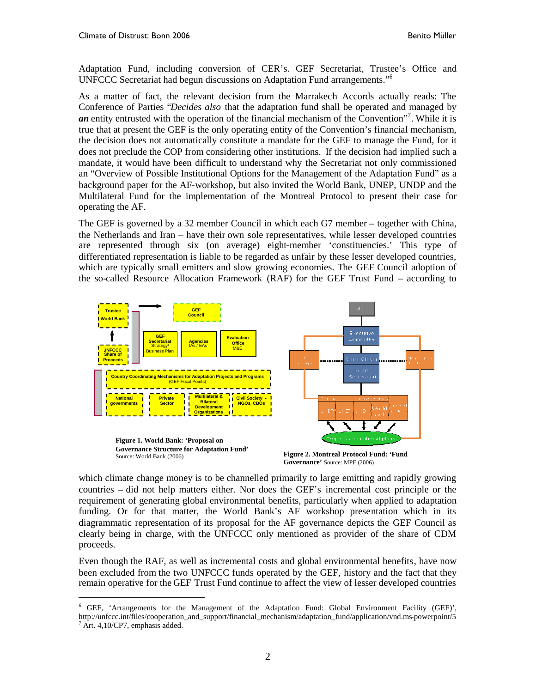Adaptation Fund, including conversion of CER's. GEF Secretariat, Trustee's Office and UNFCCC Secretariat had begun discussions on Adaptation Fund arrangements."[6](#page-1-0)

As a matter of fact, the relevant decision from the Marrakech Accords actually reads: The Conference of Parties "*Decides also* that the adaptation fund shall be operated and managed by an entity entrusted with the operation of the financial mechanism of the Convention<sup>1[7](#page-1-1)</sup>. While it is true that at present the GEF is the only operating entity of the Convention's financial mechanism, the decision does not automatically constitute a mandate for the GEF to manage the Fund, for it does not preclude the COP from considering other institutions. If the decision had implied such a mandate, it would have been difficult to understand why the Secretariat not only commissioned an "Overview of Possible Institutional Options for the Management of the Adaptation Fund" as a background paper for the AF-workshop, but also invited the World Bank, UNEP, UNDP and the Multilateral Fund for the implementation of the Montreal Protocol to present their case for operating the AF.

The GEF is governed by a 32 member Council in which each G7 member – together with China, the Netherlands and Iran – have their own sole representatives, while lesser developed countries are represented through six (on average) eight-member 'constituencies.' This type of differentiated representation is liable to be regarded as unfair by these lesser developed countries, which are typically small emitters and slow growing economies. The GEF Council adoption of the so-called Resource Allocation Framework (RAF) for the GEF Trust Fund – according to





which climate change money is to be channelled primarily to large emitting and rapidly growing countries – did not help matters either. Nor does the GEF's incremental cost principle or the requirement of generating global environmental benefits, particularly when applied to adaptation funding. Or for that matter, the World Bank's AF workshop presentation which in its diagrammatic representation of its proposal for the AF governance depicts the GEF Council as clearly being in charge, with the UNFCCC only mentioned as provider of the share of CDM proceeds.

Even though the RAF, as well as incremental costs and global environmental benefits, have now been excluded from the two UNFCCC funds operated by the GEF, history and the fact that they remain operative for the GEF Trust Fund continue to affect the view of lesser developed countries

<span id="page-1-1"></span><span id="page-1-0"></span><sup>6</sup> GEF, 'Arrangements for the Management of the Adaptation Fund: Global Environment Facility (GEF)', http://unfccc.int/files/cooperation\_and\_support/financial\_mechanism/adaptation\_fund/application/vnd.ms-powerpoint/5  $^7$  Art. 4,10/CP7, emphasis added.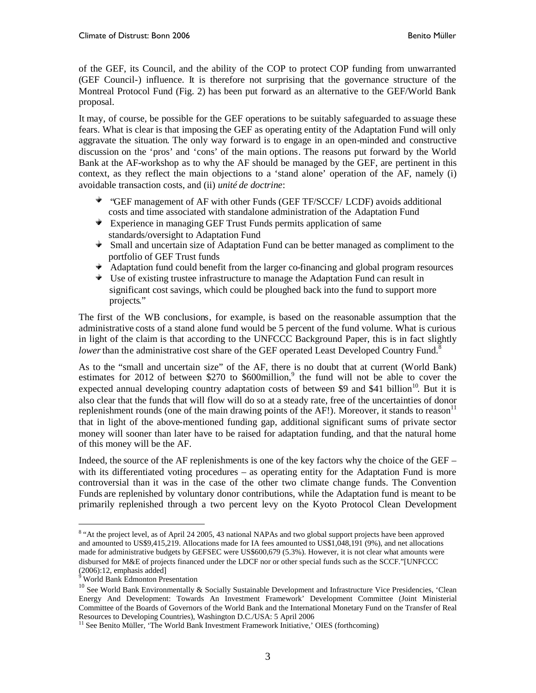of the GEF, its Council, and the ability of the COP to protect COP funding from unwarranted (GEF Council-) influence. It is therefore not surprising that the governance structure of the Montreal Protocol Fund (Fig. 2) has been put forward as an alternative to the GEF/World Bank proposal.

It may, of course, be possible for the GEF operations to be suitably safeguarded to assuage these fears. What is clear is that imposing the GEF as operating entity of the Adaptation Fund will only aggravate the situation. The only way forward is to engage in an open-minded and constructive discussion on the 'pros' and 'cons' of the main options. The reasons put forward by the World Bank at the AF-workshop as to why the AF should be managed by the GEF, are pertinent in this context, as they reflect the main objections to a 'stand alone' operation of the AF, namely (i) avoidable transaction costs, and (ii) *unité de doctrine*:

- "GEF management of AF with other Funds (GEF TF/SCCF/ LCDF) avoids additional costs and time associated with standalone administration of the Adaptation Fund
- $\bullet$  Experience in managing GEF Trust Funds permits application of same standards/oversight to Adaptation Fund
- Small and uncertain size of Adaptation Fund can be better managed as compliment to the portfolio of GEF Trust funds
- Adaptation fund could benefit from the larger co-financing and global program resources
- $\bullet$  Use of existing trustee infrastructure to manage the Adaptation Fund can result in significant cost savings, which could be ploughed back into the fund to support more projects."

The first of the WB conclusions, for example, is based on the reasonable assumption that the administrative costs of a stand alone fund would be 5 percent of the fund volume. What is curious in light of the claim is that according to the UNFCCC Background Paper, this is in fact slightly *lower*than the administrative cost share of the GEF operated Least Developed Country Fund.<sup>8</sup>

As to the "small and uncertain size" of the AF, there is no doubt that at current (World Bank) estimates for 2012 of between \$270 to \$600million,<sup>[9](#page-2-1)</sup> the fund will not be able to cover the expected annual developing country adaptation costs of between \$9 and \$41 billion<sup>[10](#page-2-2)</sup>. But it is also clear that the funds that will flow will do so at a steady rate, free of the uncertainties of donor replenishment rounds (one of the main drawing points of the AF!). Moreover, it stands to reason<sup>[11](#page-2-3)</sup> that in light of the above-mentioned funding gap, additional significant sums of private sector money will sooner than later have to be raised for adaptation funding, and that the natural home of this money will be the AF.

Indeed, the source of the AF replenishments is one of the key factors why the choice of the GEF – with its differentiated voting procedures – as operating entity for the Adaptation Fund is more controversial than it was in the case of the other two climate change funds. The Convention Funds are replenished by voluntary donor contributions, while the Adaptation fund is meant to be primarily replenished through a two percent levy on the Kyoto Protocol Clean Development

<span id="page-2-0"></span><sup>&</sup>lt;sup>8</sup> "At the project level, as of April 24 2005, 43 national NAPAs and two global support projects have been approved and amounted to US\$9,415,219. Allocations made for IA fees amounted to US\$1,048,191 (9%), and net allocations made for administrative budgets by GEFSEC were US\$600,679 (5.3%). However, it is not clear what amounts were disbursed for M&E of projects financed under the LDCF nor or other special funds such as the SCCF."[UNFCCC  $(2006):12$ , emphasis added]

<span id="page-2-2"></span><span id="page-2-1"></span><sup>9</sup> World Bank Edmonton Presentation

<sup>10</sup> See World Bank Environmentally & Socially Sustainable Development and Infrastructure Vice Presidencies, 'Clean Energy And Development: Towards An Investment Framework' Development Committee (Joint Ministerial Committee of the Boards of Governors of the World Bank and the International Monetary Fund on the Transfer of Real Resources to Developing Countries), Washington D.C./USA: 5 April 2006

<span id="page-2-3"></span><sup>&</sup>lt;sup>11</sup> See Benito Müller, 'The World Bank Investment Framework Initiative,' OIES (forthcoming)